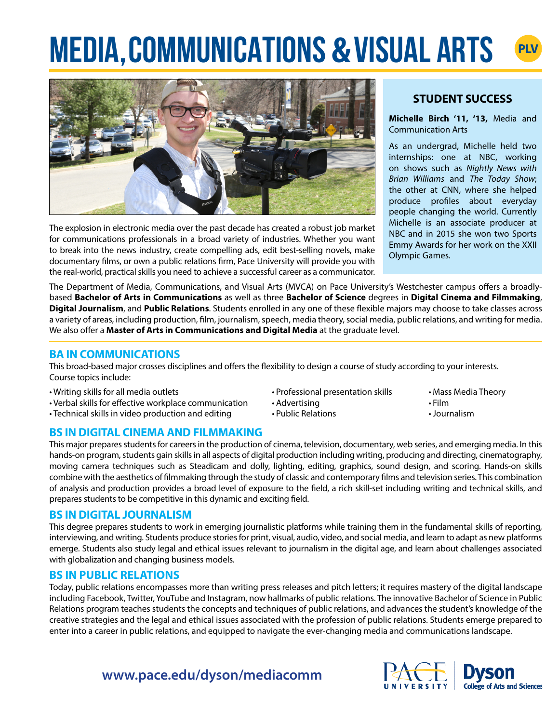# **MEDIA, COMMUNICATIONS & VISUAL ARTS PLV**



The explosion in electronic media over the past decade has created a robust job market for communications professionals in a broad variety of industries. Whether you want to break into the news industry, create compelling ads, edit best-selling novels, make documentary films, or own a public relations firm, Pace University will provide you with the real-world, practical skills you need to achieve a successful career as a communicator.

# **STUDENT SUCCESS**

**Michelle Birch '11, '13,** Media and Communication Arts

As an undergrad, Michelle held two internships: one at NBC, working on shows such as *Nightly News with Brian Williams* and *The Today Show*; the other at CNN, where she helped produce profiles about everyday people changing the world. Currently Michelle is an associate producer at NBC and in 2015 she won two Sports Emmy Awards for her work on the XXII Olympic Games.

The Department of Media, Communications, and Visual Arts (MVCA) on Pace University's Westchester campus offers a broadlybased **Bachelor of Arts in Communications** as well as three **Bachelor of Science** degrees in **Digital Cinema and Filmmaking**, **Digital Journalism**, and **Public Relations**. Students enrolled in any one of these flexible majors may choose to take classes across a variety of areas, including production, film, journalism, speech, media theory, social media, public relations, and writing for media. We also offer a **Master of Arts in Communications and Digital Media** at the graduate level.

# **BA IN COMMUNICATIONS**

This broad-based major crosses disciplines and offers the flexibility to design a course of study according to your interests. Course topics include:

- Writing skills for all media outlets
- Verbal skills for effective workplace communication
- Technical skills in video production and editing

# **BS IN DIGITAL CINEMA AND FILMMAKING**

This major prepares students for careers in the production of cinema, television, documentary, web series, and emerging media. In this hands-on program, students gain skills in all aspects of digital production including writing, producing and directing, cinematography, moving camera techniques such as Steadicam and dolly, lighting, editing, graphics, sound design, and scoring. Hands-on skills combine with the aesthetics of filmmaking through the study of classic and contemporary films and television series. This combination of analysis and production provides a broad level of exposure to the field, a rich skill-set including writing and technical skills, and prepares students to be competitive in this dynamic and exciting field.

• Advertising • Public Relations

• Professional presentation skills

# **BS IN DIGITAL JOURNALISM**

This degree prepares students to work in emerging journalistic platforms while training them in the fundamental skills of reporting, interviewing, and writing. Students produce stories for print, visual, audio, video, and social media, and learn to adapt as new platforms emerge. Students also study legal and ethical issues relevant to journalism in the digital age, and learn about challenges associated with globalization and changing business models.

# **BS IN PUBLIC RELATIONS**

Today, public relations encompasses more than writing press releases and pitch letters; it requires mastery of the digital landscape including Facebook, Twitter, YouTube and Instagram, now hallmarks of public relations. The innovative Bachelor of Science in Public Relations program teaches students the concepts and techniques of public relations, and advances the student's knowledge of the creative strategies and the legal and ethical issues associated with the profession of public relations. Students emerge prepared to enter into a career in public relations, and equipped to navigate the ever-changing media and communications landscape.

# **www.pace.edu/dyson/mediacomm**



- Mass Media Theory
- Film
- •Journalism